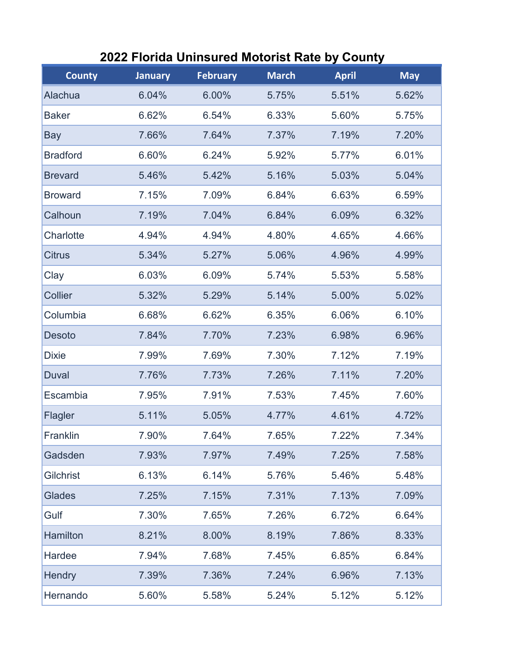| <b>County</b>   | <b>January</b> | <b>February</b> | <b>March</b> | <b>April</b> | <b>May</b> |
|-----------------|----------------|-----------------|--------------|--------------|------------|
| Alachua         | 6.04%          | 6.00%           | 5.75%        | 5.51%        | 5.62%      |
| <b>Baker</b>    | 6.62%          | 6.54%           | 6.33%        | 5.60%        | 5.75%      |
| Bay             | 7.66%          | 7.64%           | 7.37%        | 7.19%        | 7.20%      |
| <b>Bradford</b> | 6.60%          | 6.24%           | 5.92%        | 5.77%        | 6.01%      |
| <b>Brevard</b>  | 5.46%          | 5.42%           | 5.16%        | 5.03%        | 5.04%      |
| <b>Broward</b>  | 7.15%          | 7.09%           | 6.84%        | 6.63%        | 6.59%      |
| Calhoun         | 7.19%          | 7.04%           | 6.84%        | 6.09%        | 6.32%      |
| Charlotte       | 4.94%          | 4.94%           | 4.80%        | 4.65%        | 4.66%      |
| <b>Citrus</b>   | 5.34%          | 5.27%           | 5.06%        | 4.96%        | 4.99%      |
| Clay            | 6.03%          | 6.09%           | 5.74%        | 5.53%        | 5.58%      |
| Collier         | 5.32%          | 5.29%           | 5.14%        | 5.00%        | 5.02%      |
| Columbia        | 6.68%          | 6.62%           | 6.35%        | 6.06%        | 6.10%      |
| Desoto          | 7.84%          | 7.70%           | 7.23%        | 6.98%        | 6.96%      |
| <b>Dixie</b>    | 7.99%          | 7.69%           | 7.30%        | 7.12%        | 7.19%      |
| <b>Duval</b>    | 7.76%          | 7.73%           | 7.26%        | 7.11%        | 7.20%      |
| Escambia        | 7.95%          | 7.91%           | 7.53%        | 7.45%        | 7.60%      |
| Flagler         | 5.11%          | 5.05%           | 4.77%        | 4.61%        | 4.72%      |
| Franklin        | 7.90%          | 7.64%           | 7.65%        | 7.22%        | 7.34%      |
| Gadsden         | 7.93%          | 7.97%           | 7.49%        | 7.25%        | 7.58%      |
| Gilchrist       | 6.13%          | 6.14%           | 5.76%        | 5.46%        | 5.48%      |
| <b>Glades</b>   | 7.25%          | 7.15%           | 7.31%        | 7.13%        | 7.09%      |
| Gulf            | 7.30%          | 7.65%           | 7.26%        | 6.72%        | 6.64%      |
| <b>Hamilton</b> | 8.21%          | 8.00%           | 8.19%        | 7.86%        | 8.33%      |
| Hardee          | 7.94%          | 7.68%           | 7.45%        | 6.85%        | 6.84%      |
| Hendry          | 7.39%          | 7.36%           | 7.24%        | 6.96%        | 7.13%      |
| Hernando        | 5.60%          | 5.58%           | 5.24%        | 5.12%        | 5.12%      |

## **2022 Florida Uninsured Motorist Rate by County**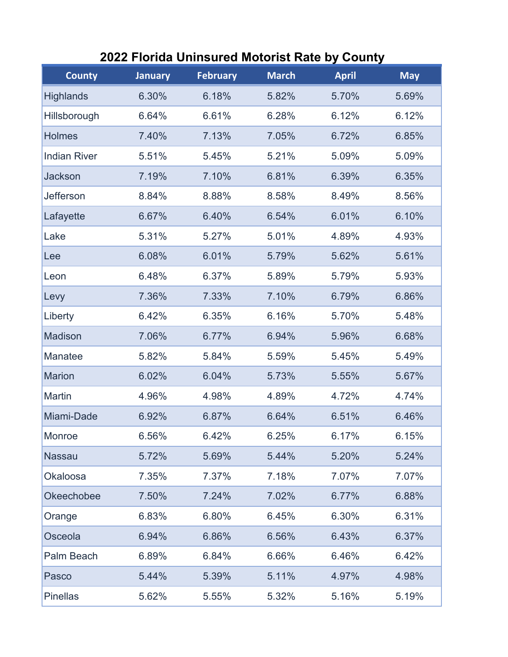| <b>County</b>       | <b>January</b> | <b>February</b> | <b>March</b> | <b>April</b> | <b>May</b> |
|---------------------|----------------|-----------------|--------------|--------------|------------|
| <b>Highlands</b>    | 6.30%          | 6.18%           | 5.82%        | 5.70%        | 5.69%      |
| Hillsborough        | 6.64%          | 6.61%           | 6.28%        | 6.12%        | 6.12%      |
| <b>Holmes</b>       | 7.40%          | 7.13%           | 7.05%        | 6.72%        | 6.85%      |
| <b>Indian River</b> | 5.51%          | 5.45%           | 5.21%        | 5.09%        | 5.09%      |
| <b>Jackson</b>      | 7.19%          | 7.10%           | 6.81%        | 6.39%        | 6.35%      |
| Jefferson           | 8.84%          | 8.88%           | 8.58%        | 8.49%        | 8.56%      |
| Lafayette           | 6.67%          | 6.40%           | 6.54%        | 6.01%        | 6.10%      |
| Lake                | 5.31%          | 5.27%           | 5.01%        | 4.89%        | 4.93%      |
| Lee                 | 6.08%          | 6.01%           | 5.79%        | 5.62%        | 5.61%      |
| Leon                | 6.48%          | 6.37%           | 5.89%        | 5.79%        | 5.93%      |
| Levy                | 7.36%          | 7.33%           | 7.10%        | 6.79%        | 6.86%      |
| Liberty             | 6.42%          | 6.35%           | 6.16%        | 5.70%        | 5.48%      |
| <b>Madison</b>      | 7.06%          | 6.77%           | 6.94%        | 5.96%        | 6.68%      |
| <b>Manatee</b>      | 5.82%          | 5.84%           | 5.59%        | 5.45%        | 5.49%      |
| <b>Marion</b>       | 6.02%          | 6.04%           | 5.73%        | 5.55%        | 5.67%      |
| <b>Martin</b>       | 4.96%          | 4.98%           | 4.89%        | 4.72%        | 4.74%      |
| Miami-Dade          | 6.92%          | 6.87%           | 6.64%        | 6.51%        | 6.46%      |
| Monroe              | 6.56%          | 6.42%           | 6.25%        | 6.17%        | 6.15%      |
| <b>Nassau</b>       | 5.72%          | 5.69%           | 5.44%        | 5.20%        | 5.24%      |
| <b>Okaloosa</b>     | 7.35%          | 7.37%           | 7.18%        | 7.07%        | 7.07%      |
| <b>Okeechobee</b>   | 7.50%          | 7.24%           | 7.02%        | 6.77%        | 6.88%      |
| Orange              | 6.83%          | 6.80%           | 6.45%        | 6.30%        | 6.31%      |
| Osceola             | 6.94%          | 6.86%           | 6.56%        | 6.43%        | 6.37%      |
| Palm Beach          | 6.89%          | 6.84%           | 6.66%        | 6.46%        | 6.42%      |
| Pasco               | 5.44%          | 5.39%           | 5.11%        | 4.97%        | 4.98%      |
| <b>Pinellas</b>     | 5.62%          | 5.55%           | 5.32%        | 5.16%        | 5.19%      |

## **2022 Florida Uninsured Motorist Rate by County**